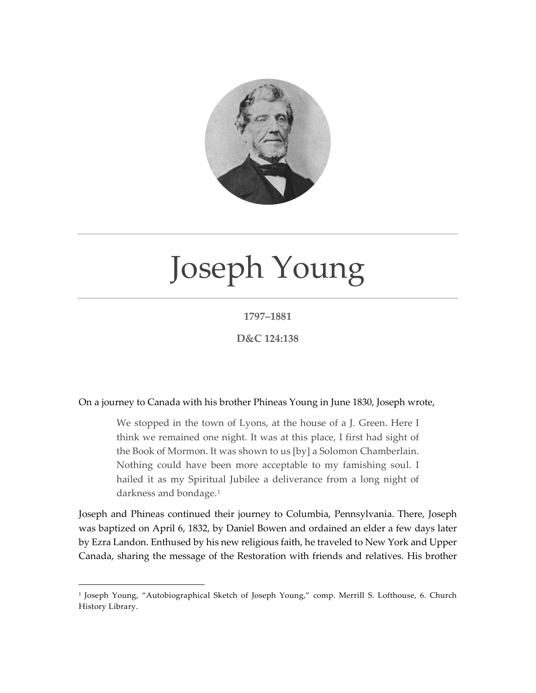

## Joseph Young

## **1797–1881**

**D&C 124:138**

On a journey to Canada with his brother Phineas Young in June 1830, Joseph wrote,

We stopped in the town of Lyons, at the house of a J. Green. Here I think we remained one night. It was at this place, I first had sight of the Book of Mormon. It was shown to us [by] a Solomon Chamberlain. Nothing could have been more acceptable to my famishing soul. I hailed it as my Spiritual Jubilee a deliverance from a long night of darkness and bondage.[1](#page-0-0)

Joseph and Phineas continued their journey to Columbia, Pennsylvania. There, Joseph was baptized on April 6, 1832, by Daniel Bowen and ordained an elder a few days later by Ezra Landon. Enthused by his new religious faith, he traveled to New York and Upper Canada, sharing the message of the Restoration with friends and relatives. His brother

<span id="page-0-0"></span><sup>&</sup>lt;sup>1</sup> Joseph Young, "Autobiographical Sketch of Joseph Young," comp. Merrill S. Lofthouse, 6. Church History Library.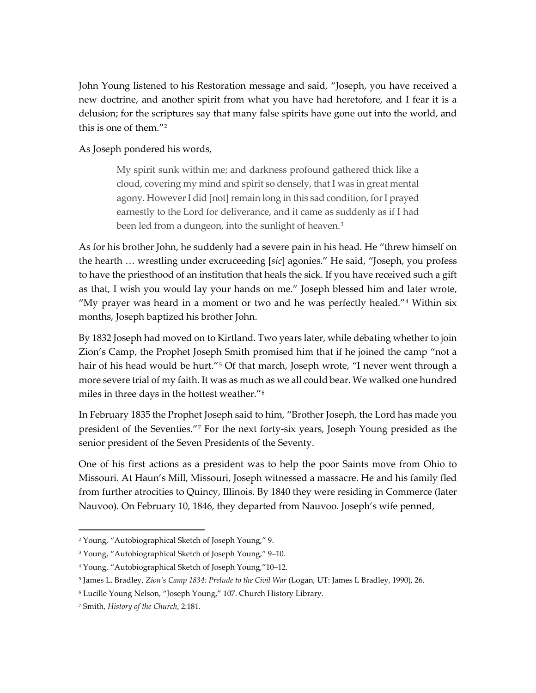John Young listened to his Restoration message and said, "Joseph, you have received a new doctrine, and another spirit from what you have had heretofore, and I fear it is a delusion; for the scriptures say that many false spirits have gone out into the world, and this is one of them."[2](#page-1-0)

## As Joseph pondered his words,

My spirit sunk within me; and darkness profound gathered thick like a cloud, covering my mind and spirit so densely, that I was in great mental agony. However I did [not] remain long in this sad condition, for I prayed earnestly to the Lord for deliverance, and it came as suddenly as if I had been led from a dungeon, into the sunlight of heaven.<sup>[3](#page-1-1)</sup>

As for his brother John, he suddenly had a severe pain in his head. He "threw himself on the hearth … wrestling under excruceeding [*sic*] agonies." He said, "Joseph, you profess to have the priesthood of an institution that heals the sick. If you have received such a gift as that, I wish you would lay your hands on me." Joseph blessed him and later wrote, "My prayer was heard in a moment or two and he was perfectly healed."<sup>[4](#page-1-2)</sup> Within six months, Joseph baptized his brother John.

By 1832 Joseph had moved on to Kirtland. Two years later, while debating whether to join Zion's Camp, the Prophet Joseph Smith promised him that if he joined the camp "not a hair of his head would be hurt."<sup>[5](#page-1-3)</sup> Of that march, Joseph wrote, "I never went through a more severe trial of my faith. It was as much as we all could bear. We walked one hundred miles in three days in the hottest weather."[6](#page-1-4)

In February 1835 the Prophet Joseph said to him, "Brother Joseph, the Lord has made you president of the Seventies."[7](#page-1-5) For the next forty-six years, Joseph Young presided as the senior president of the Seven Presidents of the Seventy.

One of his first actions as a president was to help the poor Saints move from Ohio to Missouri. At Haun's Mill, Missouri, Joseph witnessed a massacre. He and his family fled from further atrocities to Quincy, Illinois. By 1840 they were residing in Commerce (later Nauvoo). On February 10, 1846, they departed from Nauvoo. Joseph's wife penned,

<span id="page-1-0"></span><sup>2</sup> Young, "Autobiographical Sketch of Joseph Young," 9.

<span id="page-1-1"></span><sup>3</sup> Young, "Autobiographical Sketch of Joseph Young," 9–10.

<span id="page-1-2"></span><sup>4</sup> Young, "Autobiographical Sketch of Joseph Young,"10–12.

<span id="page-1-3"></span><sup>5</sup> James L. Bradley, *Zion's Camp 1834: Prelude to the Civil War* (Logan, UT: James L Bradley, 1990), 26.

<span id="page-1-4"></span><sup>6</sup> Lucille Young Nelson, "Joseph Young," 107. Church History Library.

<span id="page-1-5"></span><sup>7</sup> Smith, *History of the Church*, 2:181.